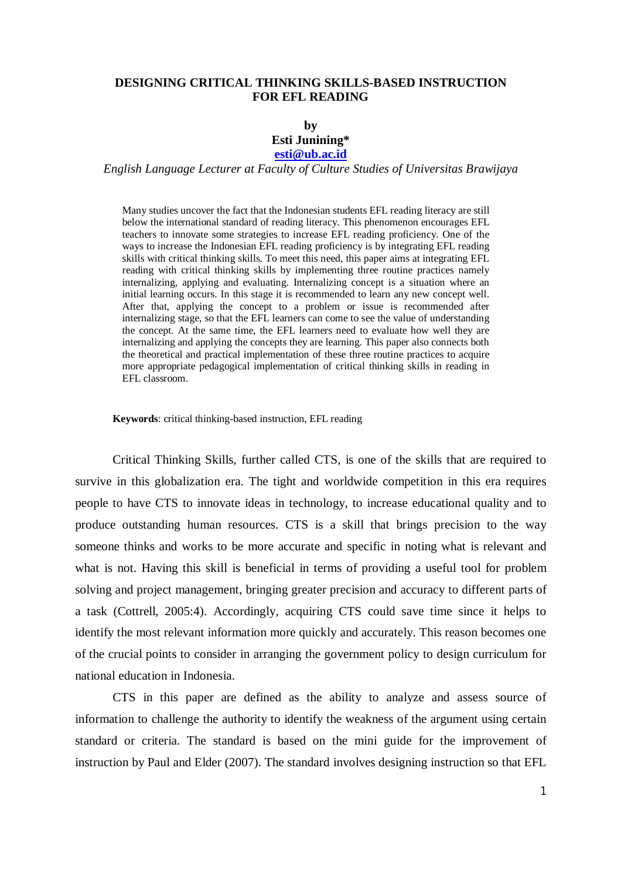## **DESIGNING CRITICAL THINKING SKILLS-BASED INSTRUCTION FOR EFL READING**

## **by Esti Junining\***

## **esti@ub.ac.id**

*English Language Lecturer at Faculty of Culture Studies of Universitas Brawijaya* 

Many studies uncover the fact that the Indonesian students EFL reading literacy are still below the international standard of reading literacy. This phenomenon encourages EFL teachers to innovate some strategies to increase EFL reading proficiency. One of the ways to increase the Indonesian EFL reading proficiency is by integrating EFL reading skills with critical thinking skills. To meet this need, this paper aims at integrating EFL reading with critical thinking skills by implementing three routine practices namely internalizing, applying and evaluating. Internalizing concept is a situation where an initial learning occurs. In this stage it is recommended to learn any new concept well. After that, applying the concept to a problem or issue is recommended after internalizing stage, so that the EFL learners can come to see the value of understanding the concept. At the same time, the EFL learners need to evaluate how well they are internalizing and applying the concepts they are learning. This paper also connects both the theoretical and practical implementation of these three routine practices to acquire more appropriate pedagogical implementation of critical thinking skills in reading in EFL classroom.

**Keywords**: critical thinking-based instruction, EFL reading

Critical Thinking Skills, further called CTS, is one of the skills that are required to survive in this globalization era. The tight and worldwide competition in this era requires people to have CTS to innovate ideas in technology, to increase educational quality and to produce outstanding human resources. CTS is a skill that brings precision to the way someone thinks and works to be more accurate and specific in noting what is relevant and what is not. Having this skill is beneficial in terms of providing a useful tool for problem solving and project management, bringing greater precision and accuracy to different parts of a task (Cottrell, 2005:4). Accordingly, acquiring CTS could save time since it helps to identify the most relevant information more quickly and accurately. This reason becomes one of the crucial points to consider in arranging the government policy to design curriculum for national education in Indonesia.

CTS in this paper are defined as the ability to analyze and assess source of information to challenge the authority to identify the weakness of the argument using certain standard or criteria. The standard is based on the mini guide for the improvement of instruction by Paul and Elder (2007). The standard involves designing instruction so that EFL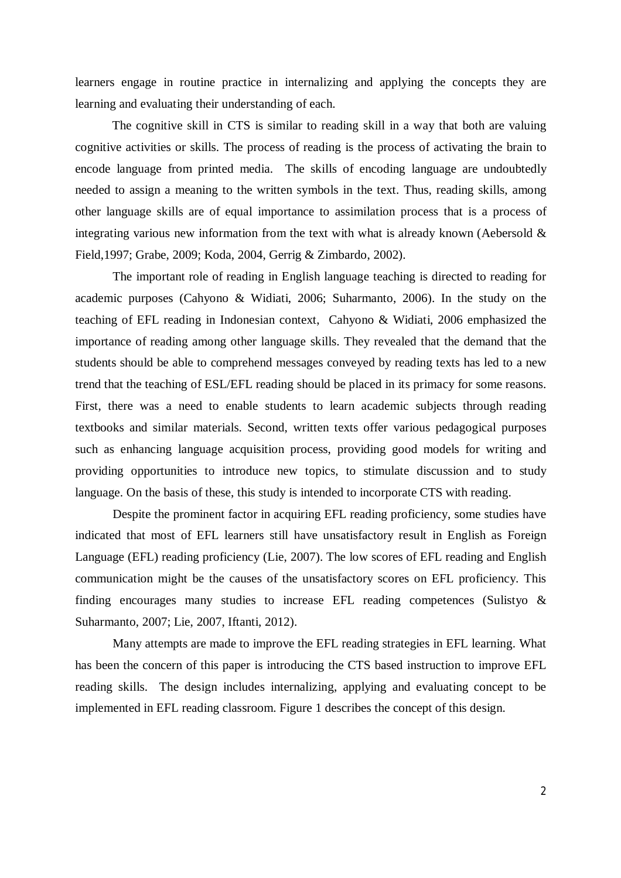learners engage in routine practice in internalizing and applying the concepts they are learning and evaluating their understanding of each.

The cognitive skill in CTS is similar to reading skill in a way that both are valuing cognitive activities or skills. The process of reading is the process of activating the brain to encode language from printed media. The skills of encoding language are undoubtedly needed to assign a meaning to the written symbols in the text. Thus, reading skills, among other language skills are of equal importance to assimilation process that is a process of integrating various new information from the text with what is already known (Aebersold & Field,1997; Grabe, 2009; Koda, 2004, Gerrig & Zimbardo, 2002).

The important role of reading in English language teaching is directed to reading for academic purposes (Cahyono & Widiati, 2006; Suharmanto, 2006). In the study on the teaching of EFL reading in Indonesian context, Cahyono & Widiati, 2006 emphasized the importance of reading among other language skills. They revealed that the demand that the students should be able to comprehend messages conveyed by reading texts has led to a new trend that the teaching of ESL/EFL reading should be placed in its primacy for some reasons. First, there was a need to enable students to learn academic subjects through reading textbooks and similar materials. Second, written texts offer various pedagogical purposes such as enhancing language acquisition process, providing good models for writing and providing opportunities to introduce new topics, to stimulate discussion and to study language. On the basis of these, this study is intended to incorporate CTS with reading.

Despite the prominent factor in acquiring EFL reading proficiency, some studies have indicated that most of EFL learners still have unsatisfactory result in English as Foreign Language (EFL) reading proficiency (Lie, 2007). The low scores of EFL reading and English communication might be the causes of the unsatisfactory scores on EFL proficiency. This finding encourages many studies to increase EFL reading competences (Sulistyo & Suharmanto, 2007; Lie, 2007, Iftanti, 2012).

Many attempts are made to improve the EFL reading strategies in EFL learning. What has been the concern of this paper is introducing the CTS based instruction to improve EFL reading skills. The design includes internalizing, applying and evaluating concept to be implemented in EFL reading classroom. Figure 1 describes the concept of this design.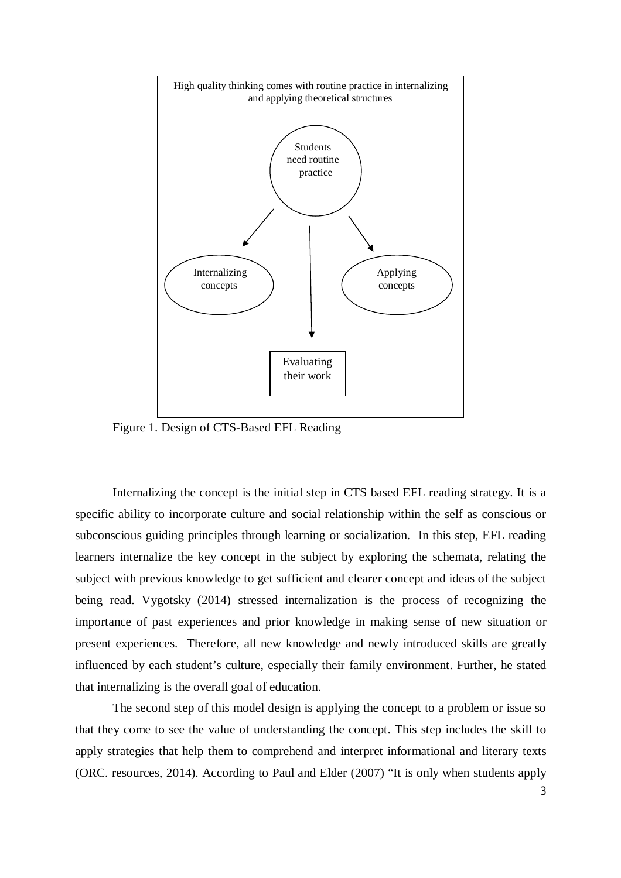

Figure 1. Design of CTS-Based EFL Reading

Internalizing the concept is the initial step in CTS based EFL reading strategy. It is a specific ability to incorporate culture and social relationship within the self as conscious or subconscious guiding principles through learning or socialization. In this step, EFL reading learners internalize the key concept in the subject by exploring the schemata, relating the subject with previous knowledge to get sufficient and clearer concept and ideas of the subject being read. Vygotsky (2014) stressed internalization is the process of recognizing the importance of past experiences and prior knowledge in making sense of new situation or present experiences. Therefore, all new knowledge and newly introduced skills are greatly influenced by each student's culture, especially their family environment. Further, he stated that internalizing is the overall goal of education.

The second step of this model design is applying the concept to a problem or issue so that they come to see the value of understanding the concept. This step includes the skill to apply strategies that help them to comprehend and interpret informational and literary texts (ORC. resources, 2014). According to Paul and Elder (2007) "It is only when students apply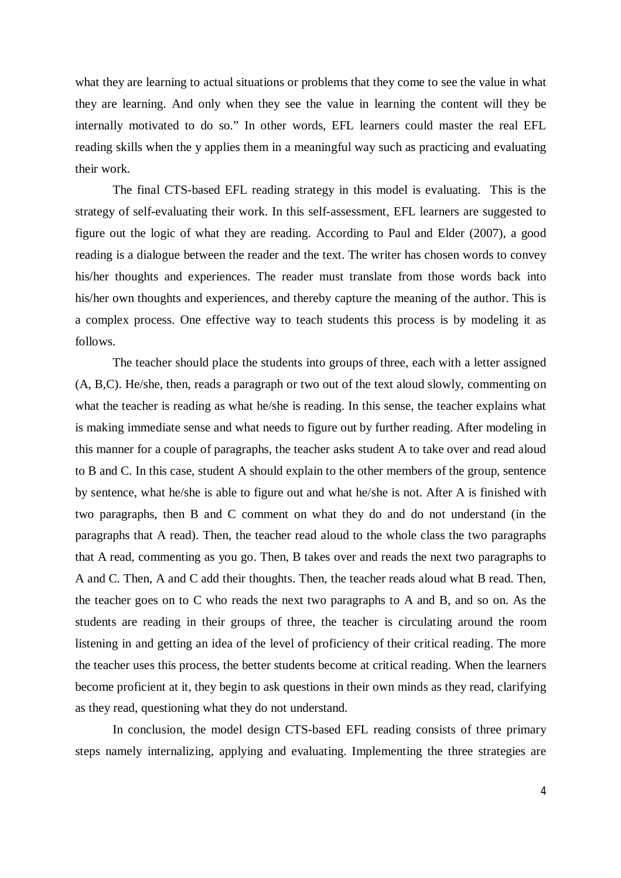what they are learning to actual situations or problems that they come to see the value in what they are learning. And only when they see the value in learning the content will they be internally motivated to do so." In other words, EFL learners could master the real EFL reading skills when the y applies them in a meaningful way such as practicing and evaluating their work.

The final CTS-based EFL reading strategy in this model is evaluating. This is the strategy of self-evaluating their work. In this self-assessment, EFL learners are suggested to figure out the logic of what they are reading. According to Paul and Elder (2007), a good reading is a dialogue between the reader and the text. The writer has chosen words to convey his/her thoughts and experiences. The reader must translate from those words back into his/her own thoughts and experiences, and thereby capture the meaning of the author. This is a complex process. One effective way to teach students this process is by modeling it as follows.

The teacher should place the students into groups of three, each with a letter assigned (A, B,C). He/she, then, reads a paragraph or two out of the text aloud slowly, commenting on what the teacher is reading as what he/she is reading. In this sense, the teacher explains what is making immediate sense and what needs to figure out by further reading. After modeling in this manner for a couple of paragraphs, the teacher asks student A to take over and read aloud to B and C. In this case, student A should explain to the other members of the group, sentence by sentence, what he/she is able to figure out and what he/she is not. After A is finished with two paragraphs, then B and C comment on what they do and do not understand (in the paragraphs that A read). Then, the teacher read aloud to the whole class the two paragraphs that A read, commenting as you go. Then, B takes over and reads the next two paragraphs to A and C. Then, A and C add their thoughts. Then, the teacher reads aloud what B read. Then, the teacher goes on to C who reads the next two paragraphs to A and B, and so on. As the students are reading in their groups of three, the teacher is circulating around the room listening in and getting an idea of the level of proficiency of their critical reading. The more the teacher uses this process, the better students become at critical reading. When the learners become proficient at it, they begin to ask questions in their own minds as they read, clarifying as they read, questioning what they do not understand.

In conclusion, the model design CTS-based EFL reading consists of three primary steps namely internalizing, applying and evaluating. Implementing the three strategies are